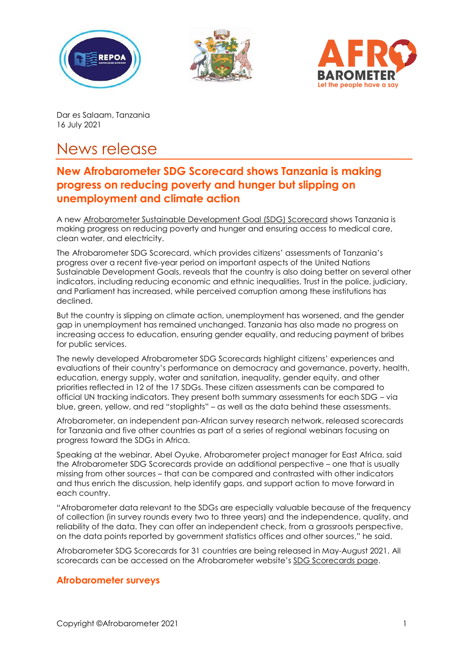





Dar es Salaam, Tanzania 16 July 2021

## News release

## **New Afrobarometer SDG Scorecard shows Tanzania is making progress on reducing poverty and hunger but slipping on unemployment and climate action**

A new [Afrobarometer Sustainable Development Goal \(SDG\) Scorecard](https://afrobarometer.org/publications/tanzania-sdg-scorecard) shows Tanzania is making progress on reducing poverty and hunger and ensuring access to medical care, clean water, and electricity.

The Afrobarometer SDG Scorecard, which provides citizens' assessments of Tanzania's progress over a recent five-year period on important aspects of the United Nations Sustainable Development Goals, reveals that the country is also doing better on several other indicators, including reducing economic and ethnic inequalities. Trust in the police, judiciary, and Parliament has increased, while perceived corruption among these institutions has declined.

But the country is slipping on climate action, unemployment has worsened, and the gender gap in unemployment has remained unchanged. Tanzania has also made no progress on increasing access to education, ensuring gender equality, and reducing payment of bribes for public services.

The newly developed Afrobarometer SDG Scorecards highlight citizens' experiences and evaluations of their country's performance on democracy and governance, poverty, health, education, energy supply, water and sanitation, inequality, gender equity, and other priorities reflected in 12 of the 17 SDGs. These citizen assessments can be compared to official UN tracking indicators. They present both summary assessments for each SDG – via blue, green, yellow, and red "stoplights" – as well as the data behind these assessments.

Afrobarometer, an independent pan-African survey research network, released scorecards for Tanzania and five other countries as part of a series of regional webinars focusing on progress toward the SDGs in Africa.

Speaking at the webinar, Abel Oyuke, Afrobarometer project manager for East Africa, said the Afrobarometer SDG Scorecards provide an additional perspective – one that is usually missing from other sources – that can be compared and contrasted with other indicators and thus enrich the discussion, help identify gaps, and support action to move forward in each country.

"Afrobarometer data relevant to the SDGs are especially valuable because of the frequency of collection (in survey rounds every two to three years) and the independence, quality, and reliability of the data. They can offer an independent check, from a grassroots perspective, on the data points reported by government statistics offices and other sources," he said.

Afrobarometer SDG Scorecards for 31 countries are being released in May-August 2021. All scorecards can be accessed on the Afrobarometer website's [SDG Scorecards page.](https://afrobarometer.org/sdg)

## **Afrobarometer surveys**